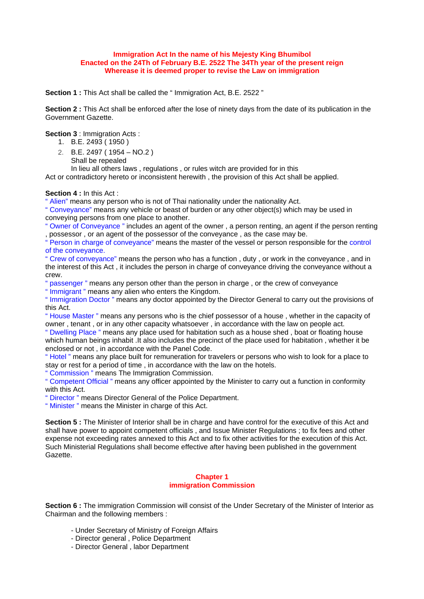### **Immigration Act In the name of his Mejesty King Bhumibol Enacted on the 24Th of February B.E. 2522 The 34Th year of the present reign Wherease it is deemed proper to revise the Law on immigration**

**Section 1 :** This Act shall be called the " Immigration Act, B.E. 2522 "

**Section 2 :** This Act shall be enforced after the lose of ninety days from the date of its publication in the Government Gazette.

**Section 3** : Immigration Acts :

- 1. B.E. 2493 ( 1950 )
- 2. B.E. 2497 ( 1954 NO.2 ) Shall be repealed

In lieu all others laws , regulations , or rules witch are provided for in this

Act or contradictory hereto or inconsistent herewith , the provision of this Act shall be applied.

## **Section 4 :** In this Act :

" Alien" means any person who is not of Thai nationality under the nationality Act.

" Conveyance" means any vehicle or beast of burden or any other object(s) which may be used in conveying persons from one place to another.

" Owner of Conveyance " includes an agent of the owner , a person renting, an agent if the person renting , possessor , or an agent of the possessor of the conveyance , as the case may be.

" Person in charge of conveyance" means the master of the vessel or person responsible for the control of the conveyance.

" Crew of conveyance" means the person who has a function , duty , or work in the conveyance , and in the interest of this Act , it includes the person in charge of conveyance driving the conveyance without a crew.

" passenger " means any person other than the person in charge , or the crew of conveyance

" Immigrant " means any alien who enters the Kingdom.

" Immigration Doctor " means any doctor appointed by the Director General to carry out the provisions of this Act.

" House Master " means any persons who is the chief possessor of a house , whether in the capacity of owner , tenant , or in any other capacity whatsoever , in accordance with the law on people act.

" Dwelling Place " means any place used for habitation such as a house shed , boat or floating house which human beings inhabit .It also includes the precinct of the place used for habitation , whether it be enclosed or not , in accordance with the Panel Code.

" Hotel " means any place built for remuneration for travelers or persons who wish to look for a place to stay or rest for a period of time , in accordance with the law on the hotels.

" Commission " means The Immigration Commission.

" Competent Official " means any officer appointed by the Minister to carry out a function in conformity with this Act.

" Director " means Director General of the Police Department.

" Minister " means the Minister in charge of this Act.

**Section 5 :** The Minister of Interior shall be in charge and have control for the executive of this Act and shall have power to appoint competent officials , and Issue Minister Regulations ; to fix fees and other expense not exceeding rates annexed to this Act and to fix other activities for the execution of this Act. Such Ministerial Regulations shall become effective after having been published in the government Gazette.

### **Chapter 1 immigration Commission**

**Section 6 :** The immigration Commission will consist of the Under Secretary of the Minister of Interior as Chairman and the following members :

- Under Secretary of Ministry of Foreign Affairs
- Director general , Police Department
- Director General , labor Department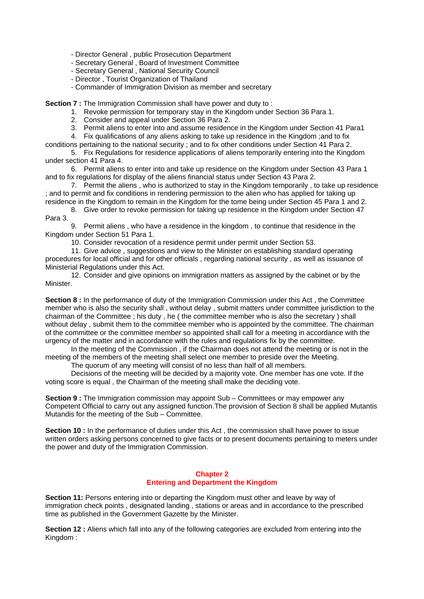- Director General , public Prosecution Department

- Secretary General , Board of Investment Committee

- Secretary General , National Security Council

- Director , Tourist Organization of Thailand

- Commander of Immigration Division as member and secretary

**Section 7 :** The Immigration Commission shall have power and duty to :

- 1. Revoke permission for temporary stay in the Kingdom under Section 36 Para 1.
- 2. Consider and appeal under Section 36 Para 2.
- 3. Permit aliens to enter into and assume residence in the Kingdom under Section 41 Para1

4. Fix qualifications of any aliens asking to take up residence in the Kingdom ;and to fix

conditions pertaining to the national security ; and to fix other conditions under Section 41 Para 2. 5. Fix Regulations for residence applications of aliens temporarily entering into the Kingdom

under section 41 Para 4.

6. Permit aliens to enter into and take up residence on the Kingdom under Section 43 Para 1 and to fix regulations for display of the aliens financial status under Section 43 Para 2.

7. Permit the aliens , who is authorized to stay in the Kingdom temporarily , to take up residence ; and to permit and fix conditions in rendering permission to the alien who has applied for taking up residence in the Kingdom to remain in the Kingdom for the tome being under Section 45 Para 1 and 2.

8. Give order to revoke permission for taking up residence in the Kingdom under Section 47 Para 3.

9. Permit aliens , who have a residence in the kingdom , to continue that residence in the Kingdom under Section 51 Para 1.

10. Consider revocation of a residence permit under permit under Section 53.

11. Give advice , suggestions and view to the Minister on establishing standard operating procedures for local official and for other officials , regarding national security , as well as issuance of Ministerial Regulations under this Act.

12. Consider and give opinions on immigration matters as assigned by the cabinet or by the Minister.

**Section 8 :** In the performance of duty of the Immigration Commission under this Act, the Committee member who is also the security shall , without delay , submit matters under committee jurisdiction to the chairman of the Committee ; his duty , he ( the committee member who is also the secretary ) shall without delay , submit them to the committee member who is appointed by the committee. The chairman of the committee or the committee member so appointed shall call for a meeting in accordance with the urgency of the matter and in accordance with the rules and regulations fix by the committee.

In the meeting of the Commission , if the Chairman does not attend the meeting or is not in the meeting of the members of the meeting shall select one member to preside over the Meeting.

The quorum of any meeting will consist of no less than half of all members.

Decisions of the meeting will be decided by a majority vote. One member has one vote. If the voting score is equal , the Chairman of the meeting shall make the deciding vote.

**Section 9 :** The Immigration commission may appoint Sub – Committees or may empower any Competent Official to carry out any assigned function.The provision of Section 8 shall be applied Mutantis Mutandis for the meeting of the Sub – Committee.

**Section 10 :** In the performance of duties under this Act , the commission shall have power to issue written orders asking persons concerned to give facts or to present documents pertaining to meters under the power and duty of the Immigration Commission.

#### **Chapter 2 Entering and Department the Kingdom**

**Section 11:** Persons entering into or departing the Kingdom must other and leave by way of immigration check points , designated landing , stations or areas and in accordance to the prescribed time as published in the Government Gazette by the Minister.

**Section 12 :** Aliens which fall into any of the following categories are excluded from entering into the Kingdom: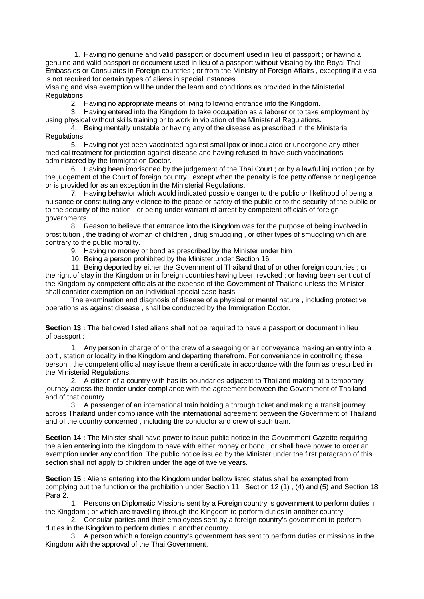1. Having no genuine and valid passport or document used in lieu of passport ; or having a genuine and valid passport or document used in lieu of a passport without Visaing by the Royal Thai Embassies or Consulates in Foreign countries ; or from the Ministry of Foreign Affairs , excepting if a visa is not required for certain types of aliens in special instances.

Visaing and visa exemption will be under the learn and conditions as provided in the Ministerial Regulations.

2. Having no appropriate means of living following entrance into the Kingdom.

3. Having entered into the Kingdom to take occupation as a laborer or to take employment by using physical without skills training or to work in violation of the Ministerial Regulations.

4. Being mentally unstable or having any of the disease as prescribed in the Ministerial Regulations.

5. Having not yet been vaccinated against smalllpox or inoculated or undergone any other medical treatment for protection against disease and having refused to have such vaccinations administered by the Immigration Doctor.

6. Having been imprisoned by the judgement of the Thai Court ; or by a lawful injunction ; or by the judgement of the Court of foreign country , except when the penalty is foe petty offense or negligence or is provided for as an exception in the Ministerial Regulations.

7. Having behavior which would indicated possible danger to the public or likelihood of being a nuisance or constituting any violence to the peace or safety of the public or to the security of the public or to the security of the nation , or being under warrant of arrest by competent officials of foreign governments.

8. Reason to believe that entrance into the Kingdom was for the purpose of being involved in prostitution , the trading of woman of children , drug smuggling , or other types of smuggling which are contrary to the public morality.

9. Having no money or bond as prescribed by the Minister under him

10. Being a person prohibited by the Minister under Section 16.

11. Being deported by either the Government of Thailand that of or other foreign countries ; or the right of stay in the Kingdom or in foreign countries having been revoked ; or having been sent out of the Kingdom by competent officials at the expense of the Government of Thailand unless the Minister shall consider exemption on an individual special case basis.

The examination and diagnosis of disease of a physical or mental nature , including protective operations as against disease , shall be conducted by the Immigration Doctor.

**Section 13 :** The bellowed listed aliens shall not be required to have a passport or document in lieu of passport :

1. Any person in charge of or the crew of a seagoing or air conveyance making an entry into a port , station or locality in the Kingdom and departing therefrom. For convenience in controlling these person , the competent official may issue them a certificate in accordance with the form as prescribed in the Ministerial Regulations.

2. A citizen of a country with has its boundaries adjacent to Thailand making at a temporary journey across the border under compliance with the agreement between the Government of Thailand and of that country.

3. A passenger of an international train holding a through ticket and making a transit journey across Thailand under compliance with the international agreement between the Government of Thailand and of the country concerned , including the conductor and crew of such train.

**Section 14 :** The Minister shall have power to issue public notice in the Government Gazette requiring the alien entering into the Kingdom to have with either money or bond , or shall have power to order an exemption under any condition. The public notice issued by the Minister under the first paragraph of this section shall not apply to children under the age of twelve years.

**Section 15 :** Aliens entering into the Kingdom under bellow listed status shall be exempted from complying out the function or the prohibition under Section 11 , Section 12 (1) , (4) and (5) and Section 18 Para 2.

1. Persons on Diplomatic Missions sent by a Foreign country' s government to perform duties in the Kingdom ; or which are travelling through the Kingdom to perform duties in another country.

2. Consular parties and their employees sent by a foreign country's government to perform duties in the Kingdom to perform duties in another country.

3. A person which a foreign country's government has sent to perform duties or missions in the Kingdom with the approval of the Thai Government.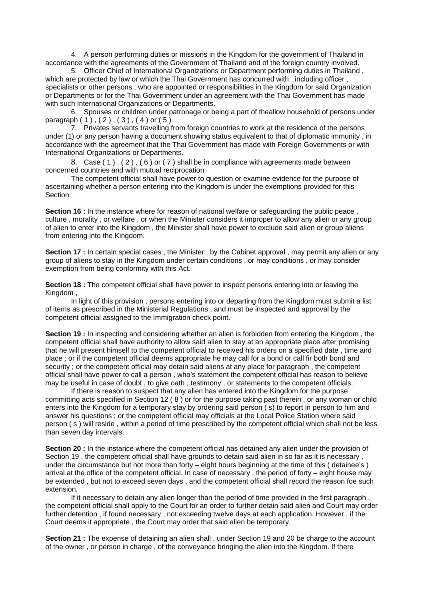4. A person performing duties or missions in the Kingdom for the government of Thailand in accordance with the agreements of the Government of Thailand and of the foreign country involved.

5. Officer Chief of International Organizations or Department performing duties in Thailand , which are protected by law or which the Thai Government has concurred with , including officer , specialists or other persons , who are appointed or responsibilities in the Kingdom for said Organization or Departments or for the Thai Government under an agreement with the Thai Government has made with such International Organizations or Departments.

6. Spouses or children under patronage or being a part of theallow household of persons under paragraph  $(1)$ ,  $(2)$ ,  $(3)$ ,  $(4)$  or  $(5)$ 

7. Privates servants travelling from foreign countries to work at the residence of the persons under (1) or any person having a document showing status equivalent to that of diplomatic immunity , in accordance with the agreement that the Thai Government has made with Foreign Governments or with International Organizations or Departments.

8. Case (1), (2), (6) or (7) shall be in compliance with agreements made between concerned countries and with mutual reciprocation.

The competent official shall have power to question or examine evidence for the purpose of ascertaining whether a person entering into the Kingdom is under the exemptions provided for this Section.

**Section 16 :** In the instance where for reason of national welfare or safeguarding the public peace , culture , morality , or welfare , or when the Minister considers it improper to allow any alien or any group of alien to enter into the Kingdom , the Minister shall have power to exclude said alien or group aliens from entering into the Kingdom.

**Section 17 :** In certain special cases, the Minister, by the Cabinet approval, may permit any alien or any group of aliens to stay in the Kingdom under certain conditions , or may conditions , or may consider exemption from being conformity with this Act.

**Section 18 :** The competent official shall have power to inspect persons entering into or leaving the Kingdom ,

In light of this provision , persons entering into or departing from the Kingdom must submit a list of items as prescribed in the Ministerial Regulations , and must be inspected and approval by the competent official assigned to the Immigration check point.

**Section 19 :** In inspecting and considering whether an alien is forbidden from entering the Kingdom , the competent official shall have authority to allow said alien to stay at an appropriate place after promising that he will present himself to the competent official to received his orders on a specified date , time and place ; or if the competent official deems appropriate he may call for a bond or call fir both bond and security ; or the competent official may detain said aliens at any place for paragraph , the competent official shall have power to call a person , who's statement the competent official has reason to believe may be useful in case of doubt , to give oath , testimony , or statements to the competent officials.

If there is reason to suspect that any alien has entered into the Kingdom for the purpose committing acts specified in Section 12 ( 8 ) or for the purpose taking past therein , or any woman or child enters into the Kingdom for a temporary stay by ordering said person ( s) to report in person to him and answer his questions ; or the competent official may officials at the Local Police Station where said person ( s ) will reside , within a period of time prescribed by the competent official which shall not be less than seven day intervals.

**Section 20 :** In the instance where the competent official has detained any alien under the provision of Section 19 , the competent official shall have grounds to detain said alien in so far as it is necessary , under the circumstance but not more than forty – eight hours beginning at the time of this ( detainee's ) arrival at the office of the competent official. In case of necessary , the period of forty – eight house may be extended , but not to exceed seven days , and the competent official shall record the reason foe such extension.

If it necessary to detain any alien longer than the period of time provided in the first paragraph , the competent official shall apply to the Court for an order to further detain said alien and Court may order further detention , if found necessary , not exceeding twelve days at each application. However , if the Court deems it appropriate , the Court may order that said alien be temporary.

**Section 21 :** The expense of detaining an alien shall , under Section 19 and 20 be charge to the account of the owner , or person in charge , of the conveyance bringing the alien into the Kingdom. If there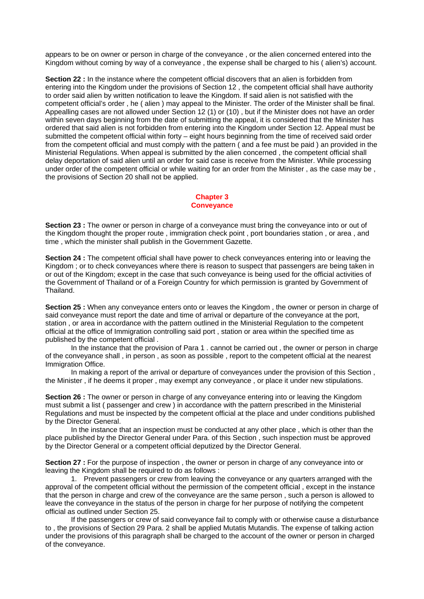appears to be on owner or person in charge of the conveyance , or the alien concerned entered into the Kingdom without coming by way of a conveyance , the expense shall be charged to his ( alien's) account.

**Section 22 :** In the instance where the competent official discovers that an alien is forbidden from entering into the Kingdom under the provisions of Section 12 , the competent official shall have authority to order said alien by written notification to leave the Kingdom. If said alien is not satisfied with the competent official's order , he ( alien ) may appeal to the Minister. The order of the Minister shall be final. Appealling cases are not allowed under Section 12 (1) or (10) , but if the Minister does not have an order within seven days beginning from the date of submitting the appeal, it is considered that the Minister has ordered that said alien is not forbidden from entering into the Kingdom under Section 12. Appeal must be submitted the competent official within forty – eight hours beginning from the time of received said order from the competent official and must comply with the pattern ( and a fee must be paid ) an provided in the Ministerial Regulations. When appeal is submitted by the alien concerned , the competent official shall delay deportation of said alien until an order for said case is receive from the Minister. While processing under order of the competent official or while waiting for an order from the Minister , as the case may be , the provisions of Section 20 shall not be applied.

### **Chapter 3 Conveyance**

**Section 23 :** The owner or person in charge of a conveyance must bring the conveyance into or out of the Kingdom thought the proper route , immigration check point , port boundaries station , or area , and time , which the minister shall publish in the Government Gazette.

**Section 24 :** The competent official shall have power to check conveyances entering into or leaving the Kingdom ; or to check conveyances where there is reason to suspect that passengers are being taken in or out of the Kingdom; except in the case that such conveyance is being used for the official activities of the Government of Thailand or of a Foreign Country for which permission is granted by Government of Thailand.

**Section 25 :** When any conveyance enters onto or leaves the Kingdom , the owner or person in charge of said conveyance must report the date and time of arrival or departure of the conveyance at the port, station , or area in accordance with the pattern outlined in the Ministerial Regulation to the competent official at the office of Immigration controlling said port , station or area within the specified time as published by the competent official .

In the instance that the provision of Para 1 . cannot be carried out , the owner or person in charge of the conveyance shall , in person , as soon as possible , report to the competent official at the nearest Immigration Office.

In making a report of the arrival or departure of conveyances under the provision of this Section , the Minister , if he deems it proper , may exempt any conveyance , or place it under new stipulations.

**Section 26 :** The owner or person in charge of any conveyance entering into or leaving the Kingdom must submit a list ( passenger and crew ) in accordance with the pattern prescribed in the Ministerial Regulations and must be inspected by the competent official at the place and under conditions published by the Director General.

In the instance that an inspection must be conducted at any other place , which is other than the place published by the Director General under Para. of this Section , such inspection must be approved by the Director General or a competent official deputized by the Director General.

**Section 27** : For the purpose of inspection, the owner or person in charge of any conveyance into or leaving the Kingdom shall be required to do as follows :

1. Prevent passengers or crew from leaving the conveyance or any quarters arranged with the approval of the competent official without the permission of the competent official , except in the instance that the person in charge and crew of the conveyance are the same person , such a person is allowed to leave the conveyance in the status of the person in charge for her purpose of notifying the competent official as outlined under Section 25.

If the passengers or crew of said conveyance fail to comply with or otherwise cause a disturbance to , the provisions of Section 29 Para. 2 shall be applied Mutatis Mutandis. The expense of talking action under the provisions of this paragraph shall be charged to the account of the owner or person in charged of the conveyance.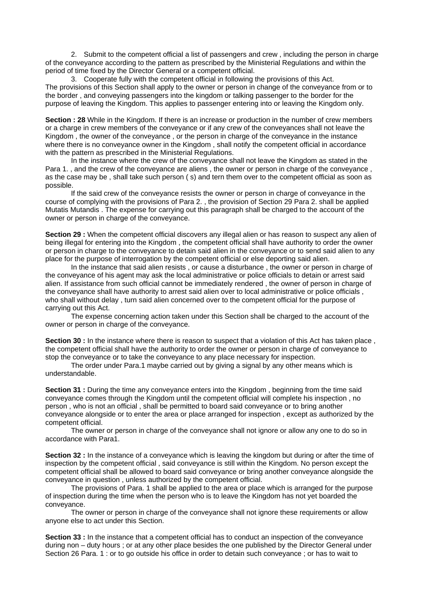2. Submit to the competent official a list of passengers and crew , including the person in charge of the conveyance according to the pattern as prescribed by the Ministerial Regulations and within the period of time fixed by the Director General or a competent official.

3. Cooperate fully with the competent official in following the provisions of this Act. The provisions of this Section shall apply to the owner or person in change of the conveyance from or to the border , and conveying passengers into the kingdom or talking passenger to the border for the purpose of leaving the Kingdom. This applies to passenger entering into or leaving the Kingdom only.

**Section : 28** While in the Kingdom. If there is an increase or production in the number of crew members or a charge in crew members of the conveyance or if any crew of the conveyances shall not leave the Kingdom , the owner of the conveyance , or the person in charge of the conveyance in the instance where there is no conveyance owner in the Kingdom , shall notify the competent official in accordance with the pattern as prescribed in the Ministerial Regulations.

In the instance where the crew of the conveyance shall not leave the Kingdom as stated in the Para 1. , and the crew of the conveyance are aliens , the owner or person in charge of the conveyance , as the case may be , shall take such person ( s) and tern them over to the competent official as soon as possible.

If the said crew of the conveyance resists the owner or person in charge of conveyance in the course of complying with the provisions of Para 2. , the provision of Section 29 Para 2. shall be applied Mutatis Mutandis . The expense for carrying out this paragraph shall be charged to the account of the owner or person in charge of the conveyance.

**Section 29 :** When the competent official discovers any illegal alien or has reason to suspect any alien of being illegal for entering into the Kingdom , the competent official shall have authority to order the owner or person in charge to the conveyance to detain said alien in the conveyance or to send said alien to any place for the purpose of interrogation by the competent official or else deporting said alien.

In the instance that said alien resists , or cause a disturbance , the owner or person in charge of the conveyance of his agent may ask the local administrative or police officials to detain or arrest said alien. If assistance from such official cannot be immediately rendered , the owner of person in charge of the conveyance shall have authority to arrest said alien over to local administrative or police officials , who shall without delay , turn said alien concerned over to the competent official for the purpose of carrying out this Act.

The expense concerning action taken under this Section shall be charged to the account of the owner or person in charge of the conveyance.

**Section 30 :** In the instance where there is reason to suspect that a violation of this Act has taken place, the competent official shall have the authority to order the owner or person in charge of conveyance to stop the conveyance or to take the conveyance to any place necessary for inspection.

The order under Para.1 maybe carried out by giving a signal by any other means which is understandable.

**Section 31 :** During the time any conveyance enters into the Kingdom, beginning from the time said conveyance comes through the Kingdom until the competent official will complete his inspection , no person , who is not an official , shall be permitted to board said conveyance or to bring another conveyance alongside or to enter the area or place arranged for inspection , except as authorized by the competent official.

The owner or person in charge of the conveyance shall not ignore or allow any one to do so in accordance with Para1.

**Section 32 :** In the instance of a conveyance which is leaving the kingdom but during or after the time of inspection by the competent official , said conveyance is still within the Kingdom. No person except the competent official shall be allowed to board said conveyance or bring another conveyance alongside the conveyance in question , unless authorized by the competent official.

The provisions of Para. 1 shall be applied to the area or place which is arranged for the purpose of inspection during the time when the person who is to leave the Kingdom has not yet boarded the conveyance.

The owner or person in charge of the conveyance shall not ignore these requirements or allow anyone else to act under this Section.

**Section 33 :** In the instance that a competent official has to conduct an inspection of the conveyance during non – duty hours ; or at any other place besides the one published by the Director General under Section 26 Para. 1 : or to go outside his office in order to detain such conveyance ; or has to wait to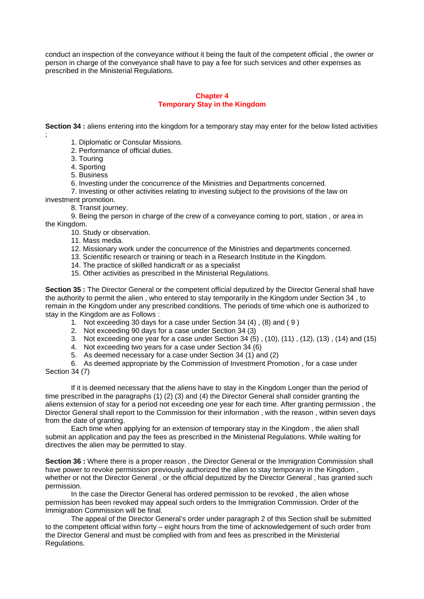conduct an inspection of the conveyance without it being the fault of the competent official , the owner or person in charge of the conveyance shall have to pay a fee for such services and other expenses as prescribed in the Ministerial Regulations.

## **Chapter 4 Temporary Stay in the Kingdom**

**Section 34 :** aliens entering into the kingdom for a temporary stay may enter for the below listed activities ;

- 1. Diplomatic or Consular Missions.
- 2. Performance of official duties.
- 3. Touring
- 4. Sporting
- 5. Business
- 6. Investing under the concurrence of the Ministries and Departments concerned.

7. Investing or other activities relating to investing subject to the provisions of the law on investment promotion.

8. Transit journey.

9. Being the person in charge of the crew of a conveyance coming to port, station , or area in the Kingdom.

10. Study or observation.

- 11. Mass media.
- 12. Missionary work under the concurrence of the Ministries and departments concerned.
- 13. Scientific research or training or teach in a Research Institute in the Kingdom.
- 14. The practice of skilled handicraft or as a specialist
- 15. Other activities as prescribed in the Ministerial Regulations.

**Section 35 :** The Director General or the competent official deputized by the Director General shall have the authority to permit the alien , who entered to stay temporarily in the Kingdom under Section 34 , to remain in the Kingdom under any prescribed conditions. The periods of time which one is authorized to stay in the Kingdom are as Follows :

- 1. Not exceeding 30 days for a case under Section 34 (4) , (8) and ( 9 )
- 2. Not exceeding 90 days for a case under Section 34 (3)
- 3. Not exceeding one year for a case under Section 34 (5) , (10), (11) , (12), (13) , (14) and (15)
- 4. Not exceeding two years for a case under Section 34 (6)
- 5. As deemed necessary for a case under Section 34 (1) and (2)

6. As deemed appropriate by the Commission of Investment Promotion , for a case under Section 34 (7)

If it is deemed necessary that the aliens have to stay in the Kingdom Longer than the period of time prescribed in the paragraphs (1) (2) (3) and (4) the Director General shall consider granting the aliens extension of stay for a period not exceeding one year for each time. After granting permission , the Director General shall report to the Commission for their information , with the reason , within seven days from the date of granting.

Each time when applying for an extension of temporary stay in the Kingdom , the alien shall submit an application and pay the fees as prescribed in the Ministerial Regulations. While waiting for directives the alien may be permitted to stay.

**Section 36 :** Where there is a proper reason , the Director General or the Immigration Commission shall have power to revoke permission previously authorized the alien to stay temporary in the Kingdom , whether or not the Director General , or the official deputized by the Director General , has granted such permission.

In the case the Director General has ordered permission to be revoked , the alien whose permission has been revoked may appeal such orders to the Immigration Commission. Order of the Immigration Commission will be final.

The appeal of the Director General's order under paragraph 2 of this Section shall be submitted to the competent official within forty – eight hours from the time of acknowledgement of such order from the Director General and must be complied with from and fees as prescribed in the Ministerial Regulations.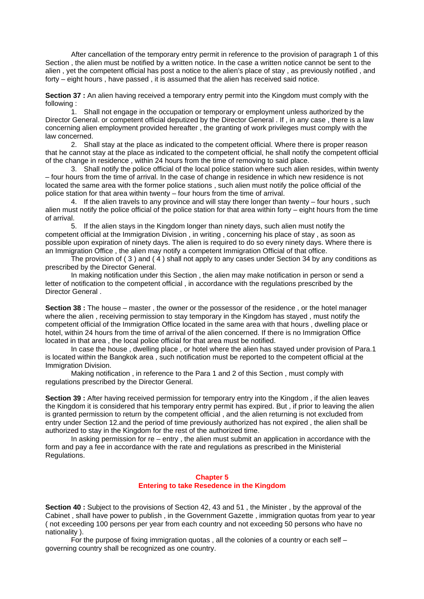After cancellation of the temporary entry permit in reference to the provision of paragraph 1 of this Section , the alien must be notified by a written notice. In the case a written notice cannot be sent to the alien , yet the competent official has post a notice to the alien's place of stay , as previously notified , and forty – eight hours , have passed , it is assumed that the alien has received said notice.

**Section 37 :** An alien having received a temporary entry permit into the Kingdom must comply with the following :

1. Shall not engage in the occupation or temporary or employment unless authorized by the Director General. or competent official deputized by the Director General . If , in any case , there is a law concerning alien employment provided hereafter , the granting of work privileges must comply with the law concerned.

2. Shall stay at the place as indicated to the competent official. Where there is proper reason that he cannot stay at the place as indicated to the competent official, he shall notify the competent official of the change in residence , within 24 hours from the time of removing to said place.

3. Shall notify the police official of the local police station where such alien resides, within twenty – four hours from the time of arrival. In the case of change in residence in which new residence is not located the same area with the former police stations , such alien must notify the police official of the police station for that area within twenty – four hours from the time of arrival.

4. If the alien travels to any province and will stay there longer than twenty – four hours , such alien must notify the police official of the police station for that area within forty – eight hours from the time of arrival.

5. If the alien stays in the Kingdom longer than ninety days, such alien must notify the competent official at the Immigration Division , in writing , concerning his place of stay , as soon as possible upon expiration of ninety days. The alien is required to do so every ninety days. Where there is an Immigration Office , the alien may notify a competent Immigration Official of that office.

The provision of  $(3)$  and  $(4)$  shall not apply to any cases under Section 34 by any conditions as prescribed by the Director General.

In making notification under this Section , the alien may make notification in person or send a letter of notification to the competent official , in accordance with the regulations prescribed by the Director General .

**Section 38 :** The house – master, the owner or the possessor of the residence, or the hotel manager where the alien , receiving permission to stay temporary in the Kingdom has stayed , must notify the competent official of the Immigration Office located in the same area with that hours , dwelling place or hotel, within 24 hours from the time of arrival of the alien concerned. If there is no Immigration Office located in that area , the local police official for that area must be notified.

In case the house , dwelling place , or hotel where the alien has stayed under provision of Para.1 is located within the Bangkok area , such notification must be reported to the competent official at the Immigration Division.

Making notification , in reference to the Para 1 and 2 of this Section , must comply with regulations prescribed by the Director General.

**Section 39 :** After having received permission for temporary entry into the Kingdom , if the alien leaves the Kingdom it is considered that his temporary entry permit has expired. But , if prior to leaving the alien is granted permission to return by the competent official , and the alien returning is not excluded from entry under Section 12.and the period of time previously authorized has not expired , the alien shall be authorized to stay in the Kingdom for the rest of the authorized time.

In asking permission for re – entry , the alien must submit an application in accordance with the form and pay a fee in accordance with the rate and regulations as prescribed in the Ministerial Regulations.

### **Chapter 5 Entering to take Resedence in the Kingdom**

**Section 40 :** Subject to the provisions of Section 42, 43 and 51 , the Minister , by the approval of the Cabinet , shall have power to publish , in the Government Gazette , immigration quotas from year to year ( not exceeding 100 persons per year from each country and not exceeding 50 persons who have no nationality ).

For the purpose of fixing immigration quotas , all the colonies of a country or each self – governing country shall be recognized as one country.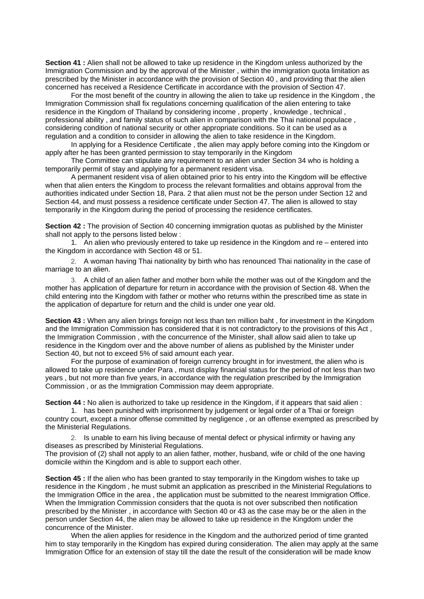**Section 41 :** Alien shall not be allowed to take up residence in the Kingdom unless authorized by the Immigration Commission and by the approval of the Minister , within the immigration quota limitation as prescribed by the Minister in accordance with the provision of Section 40 , and providing that the alien concerned has received a Residence Certificate in accordance with the provision of Section 47.

For the most benefit of the country in allowing the alien to take up residence in the Kingdom , the Immigration Commission shall fix regulations concerning qualification of the alien entering to take residence in the Kingdom of Thailand by considering income , property , knowledge , technical , professional ability , and family status of such alien in comparison with the Thai national populace , considering condition of national security or other appropriate conditions. So it can be used as a regulation and a condition to consider in allowing the alien to take residence in the Kingdom.

In applying for a Residence Certificate , the alien may apply before coming into the Kingdom or apply after he has been granted permission to stay temporarily in the Kingdom

The Committee can stipulate any requirement to an alien under Section 34 who is holding a temporarily permit of stay and applying for a permanent resident visa.

A permanent resident visa of alien obtained prior to his entry into the Kingdom will be effective when that alien enters the Kingdom to process the relevant formalities and obtains approval from the authorities indicated under Section 18, Para. 2 that alien must not be the person under Section 12 and Section 44, and must possess a residence certificate under Section 47. The alien is allowed to stay temporarily in the Kingdom during the period of processing the residence certificates.

**Section 42 :** The provision of Section 40 concerning immigration quotas as published by the Minister shall not apply to the persons listed below :

1. An alien who previously entered to take up residence in the Kingdom and re – entered into the Kingdom in accordance with Section 48 or 51.

2. A woman having Thai nationality by birth who has renounced Thai nationality in the case of marriage to an alien.

3. A child of an alien father and mother born while the mother was out of the Kingdom and the mother has application of departure for return in accordance with the provision of Section 48. When the child entering into the Kingdom with father or mother who returns within the prescribed time as state in the application of departure for return and the child is under one year old.

**Section 43 :** When any alien brings foreign not less than ten million baht , for investment in the Kingdom and the Immigration Commission has considered that it is not contradictory to the provisions of this Act , the Immigration Commission , with the concurrence of the Minister, shall allow said alien to take up residence in the Kingdom over and the above number of aliens as published by the Minister under Section 40, but not to exceed 5% of said amount each year.

For the purpose of examination of foreign currency brought in for investment, the alien who is allowed to take up residence under Para , must display financial status for the period of not less than two years , but not more than five years, in accordance with the regulation prescribed by the Immigration Commission , or as the Immigration Commission may deem appropriate.

**Section 44 :** No alien is authorized to take up residence in the Kingdom, if it appears that said alien :

1. has been punished with imprisonment by judgement or legal order of a Thai or foreign country court, except a minor offense committed by negligence , or an offense exempted as prescribed by the Ministerial Regulations.

2. Is unable to earn his living because of mental defect or physical infirmity or having any diseases as prescribed by Ministerial Regulations.

The provision of (2) shall not apply to an alien father, mother, husband, wife or child of the one having domicile within the Kingdom and is able to support each other.

**Section 45 :** If the alien who has been granted to stay temporarily in the Kingdom wishes to take up residence in the Kingdom , he must submit an application as prescribed in the Ministerial Regulations to the Immigration Office in the area , the application must be submitted to the nearest Immigration Office. When the Immigration Commission considers that the quota is not over subscribed then notification prescribed by the Minister , in accordance with Section 40 or 43 as the case may be or the alien in the person under Section 44, the alien may be allowed to take up residence in the Kingdom under the concurrence of the Minister.

When the alien applies for residence in the Kingdom and the authorized period of time granted him to stay temporarily in the Kingdom has expired during consideration. The alien may apply at the same Immigration Office for an extension of stay till the date the result of the consideration will be made know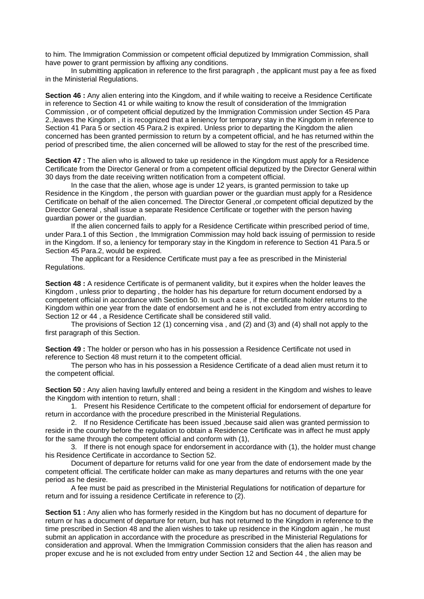to him. The Immigration Commission or competent official deputized by Immigration Commission, shall have power to grant permission by affixing any conditions.

In submitting application in reference to the first paragraph , the applicant must pay a fee as fixed in the Ministerial Regulations.

**Section 46 :** Any alien entering into the Kingdom, and if while waiting to receive a Residence Certificate in reference to Section 41 or while waiting to know the result of consideration of the Immigration Commission , or of competent official deputized by the Immigration Commission under Section 45 Para 2.,leaves the Kingdom , it is recognized that a leniency for temporary stay in the Kingdom in reference to Section 41 Para 5 or section 45 Para.2 is expired. Unless prior to departing the Kingdom the alien concerned has been granted permission to return by a competent official, and he has returned within the period of prescribed time, the alien concerned will be allowed to stay for the rest of the prescribed time.

**Section 47 :** The alien who is allowed to take up residence in the Kingdom must apply for a Residence Certificate from the Director General or from a competent official deputized by the Director General within 30 days from the date receiving written notification from a competent official.

In the case that the alien, whose age is under 12 years, is granted permission to take up Residence in the Kingdom , the person with guardian power or the guardian must apply for a Residence Certificate on behalf of the alien concerned. The Director General ,or competent official deputized by the Director General , shall issue a separate Residence Certificate or together with the person having guardian power or the guardian.

If the alien concerned fails to apply for a Residence Certificate within prescribed period of time, under Para.1 of this Section , the Immigration Commission may hold back issuing of permission to reside in the Kingdom. If so, a leniency for temporary stay in the Kingdom in reference to Section 41 Para.5 or Section 45 Para.2, would be expired.

The applicant for a Residence Certificate must pay a fee as prescribed in the Ministerial Regulations.

**Section 48 :** A residence Certificate is of permanent validity, but it expires when the holder leaves the Kingdom , unless prior to departing , the holder has his departure for return document endorsed by a competent official in accordance with Section 50. In such a case , if the certificate holder returns to the Kingdom within one year from the date of endorsement and he is not excluded from entry according to Section 12 or 44 , a Residence Certificate shall be considered still valid.

The provisions of Section 12 (1) concerning visa , and (2) and (3) and (4) shall not apply to the first paragraph of this Section.

**Section 49 :** The holder or person who has in his possession a Residence Certificate not used in reference to Section 48 must return it to the competent official.

The person who has in his possession a Residence Certificate of a dead alien must return it to the competent official.

**Section 50 :** Any alien having lawfully entered and being a resident in the Kingdom and wishes to leave the Kingdom with intention to return, shall :

1. Present his Residence Certificate to the competent official for endorsement of departure for return in accordance with the procedure prescribed in the Ministerial Regulations.

2. If no Residence Certificate has been issued ,because said alien was granted permission to reside in the country before the regulation to obtain a Residence Certificate was in affect he must apply for the same through the competent official and conform with (1),

3. If there is not enough space for endorsement in accordance with (1), the holder must change his Residence Certificate in accordance to Section 52.

Document of departure for returns valid for one year from the date of endorsement made by the competent official. The certificate holder can make as many departures and returns with the one year period as he desire.

A fee must be paid as prescribed in the Ministerial Regulations for notification of departure for return and for issuing a residence Certificate in reference to (2).

**Section 51 :** Any alien who has formerly resided in the Kingdom but has no document of departure for return or has a document of departure for return, but has not returned to the Kingdom in reference to the time prescribed in Section 48 and the alien wishes to take up residence in the Kingdom again , he must submit an application in accordance with the procedure as prescribed in the Ministerial Regulations for consideration and approval. When the Immigration Commission considers that the alien has reason and proper excuse and he is not excluded from entry under Section 12 and Section 44 , the alien may be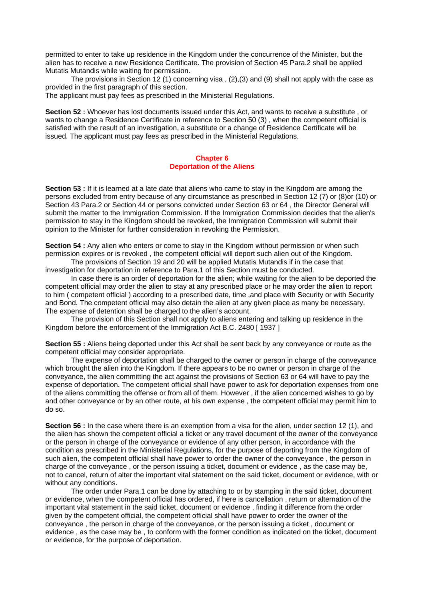permitted to enter to take up residence in the Kingdom under the concurrence of the Minister, but the alien has to receive a new Residence Certificate. The provision of Section 45 Para.2 shall be applied Mutatis Mutandis while waiting for permission.

The provisions in Section 12 (1) concerning visa , (2),(3) and (9) shall not apply with the case as provided in the first paragraph of this section.

The applicant must pay fees as prescribed in the Ministerial Regulations.

**Section 52 :** Whoever has lost documents issued under this Act, and wants to receive a substitute , or wants to change a Residence Certificate in reference to Section 50 (3) , when the competent official is satisfied with the result of an investigation, a substitute or a change of Residence Certificate will be issued. The applicant must pay fees as prescribed in the Ministerial Regulations.

### **Chapter 6 Deportation of the Aliens**

**Section 53 :** If it is learned at a late date that aliens who came to stay in the Kingdom are among the persons excluded from entry because of any circumstance as prescribed in Section 12 (7) or (8)or (10) or Section 43 Para.2 or Section 44 or persons convicted under Section 63 or 64 , the Director General will submit the matter to the Immigration Commission. If the Immigration Commission decides that the alien's permission to stay in the Kingdom should be revoked, the Immigration Commission will submit their opinion to the Minister for further consideration in revoking the Permission.

**Section 54 :** Any alien who enters or come to stay in the Kingdom without permission or when such permission expires or is revoked , the competent official will deport such alien out of the Kingdom. The provisions of Section 19 and 20 will be applied Mutatis Mutandis if in the case that

investigation for deportation in reference to Para.1 of this Section must be conducted.

In case there is an order of deportation for the alien; while waiting for the alien to be deported the competent official may order the alien to stay at any prescribed place or he may order the alien to report to him ( competent official ) according to a prescribed date, time ,and place with Security or with Security and Bond. The competent official may also detain the alien at any given place as many be necessary. The expense of detention shall be charged to the alien's account.

The provision of this Section shall not apply to aliens entering and talking up residence in the Kingdom before the enforcement of the Immigration Act B.C. 2480 [ 1937 ]

**Section 55 :** Aliens being deported under this Act shall be sent back by any conveyance or route as the competent official may consider appropriate.

The expense of deportation shall be charged to the owner or person in charge of the conveyance which brought the alien into the Kingdom. If there appears to be no owner or person in charge of the conveyance, the alien committing the act against the provisions of Section 63 or 64 will have to pay the expense of deportation. The competent official shall have power to ask for deportation expenses from one of the aliens committing the offense or from all of them. However , if the alien concerned wishes to go by and other conveyance or by an other route, at his own expense , the competent official may permit him to do so.

**Section 56 :** In the case where there is an exemption from a visa for the alien, under section 12 (1), and the alien has shown the competent official a ticket or any travel document of the owner of the conveyance or the person in charge of the conveyance or evidence of any other person, in accordance with the condition as prescribed in the Ministerial Regulations, for the purpose of deporting from the Kingdom of such alien, the competent official shall have power to order the owner of the conveyance , the person in charge of the conveyance , or the person issuing a ticket, document or evidence , as the case may be, not to cancel, return of alter the important vital statement on the said ticket, document or evidence, with or without any conditions.

The order under Para.1 can be done by attaching to or by stamping in the said ticket, document or evidence, when the competent official has ordered, if here is cancellation , return or alternation of the important vital statement in the said ticket, document or evidence , finding it difference from the order given by the competent official, the competent official shall have power to order the owner of the conveyance , the person in charge of the conveyance, or the person issuing a ticket , document or evidence , as the case may be , to conform with the former condition as indicated on the ticket, document or evidence, for the purpose of deportation.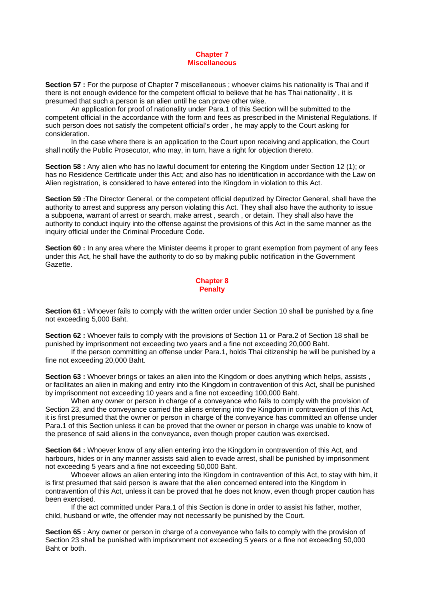#### **Chapter 7 Miscellaneous**

**Section 57 :** For the purpose of Chapter 7 miscellaneous ; whoever claims his nationality is Thai and if there is not enough evidence for the competent official to believe that he has Thai nationality , it is presumed that such a person is an alien until he can prove other wise.

An application for proof of nationality under Para.1 of this Section will be submitted to the competent official in the accordance with the form and fees as prescribed in the Ministerial Regulations. If such person does not satisfy the competent official's order , he may apply to the Court asking for consideration.

In the case where there is an application to the Court upon receiving and application, the Court shall notify the Public Prosecutor, who may, in turn, have a right for objection thereto.

**Section 58 :** Any alien who has no lawful document for entering the Kingdom under Section 12 (1); or has no Residence Certificate under this Act; and also has no identification in accordance with the Law on Alien registration, is considered to have entered into the Kingdom in violation to this Act.

**Section 59 :**The Director General, or the competent official deputized by Director General, shall have the authority to arrest and suppress any person violating this Act. They shall also have the authority to issue a subpoena, warrant of arrest or search, make arrest , search , or detain. They shall also have the authority to conduct inquiry into the offense against the provisions of this Act in the same manner as the inquiry official under the Criminal Procedure Code.

**Section 60 :** In any area where the Minister deems it proper to grant exemption from payment of any fees under this Act, he shall have the authority to do so by making public notification in the Government Gazette.

## **Chapter 8 Penalty**

**Section 61 :** Whoever fails to comply with the written order under Section 10 shall be punished by a fine not exceeding 5,000 Baht.

**Section 62 :** Whoever fails to comply with the provisions of Section 11 or Para.2 of Section 18 shall be punished by imprisonment not exceeding two years and a fine not exceeding 20,000 Baht.

If the person committing an offense under Para.1, holds Thai citizenship he will be punished by a fine not exceeding 20,000 Baht.

**Section 63 :** Whoever brings or takes an alien into the Kingdom or does anything which helps, assists , or facilitates an alien in making and entry into the Kingdom in contravention of this Act, shall be punished by imprisonment not exceeding 10 years and a fine not exceeding 100,000 Baht.

When any owner or person in charge of a conveyance who fails to comply with the provision of Section 23, and the conveyance carried the aliens entering into the Kingdom in contravention of this Act, it is first presumed that the owner or person in charge of the conveyance has committed an offense under Para.1 of this Section unless it can be proved that the owner or person in charge was unable to know of the presence of said aliens in the conveyance, even though proper caution was exercised.

**Section 64 :** Whoever know of any alien entering into the Kingdom in contravention of this Act, and harbours, hides or in any manner assists said alien to evade arrest, shall be punished by imprisonment not exceeding 5 years and a fine not exceeding 50,000 Baht.

Whoever allows an alien entering into the Kingdom in contravention of this Act, to stay with him, it is first presumed that said person is aware that the alien concerned entered into the Kingdom in contravention of this Act, unless it can be proved that he does not know, even though proper caution has been exercised.

If the act committed under Para.1 of this Section is done in order to assist his father, mother, child, husband or wife, the offender may not necessarily be punished by the Court.

**Section 65 :** Any owner or person in charge of a conveyance who fails to comply with the provision of Section 23 shall be punished with imprisonment not exceeding 5 years or a fine not exceeding 50,000 Baht or both.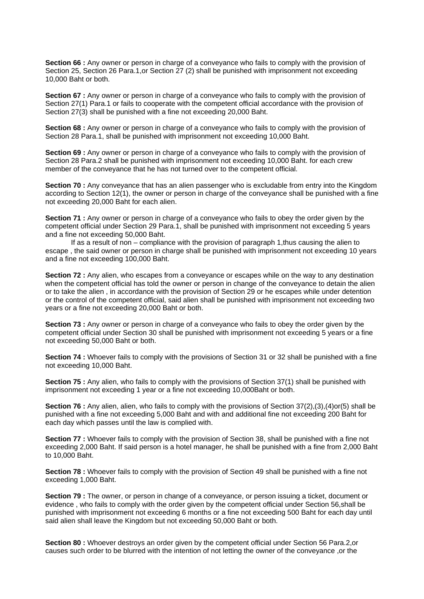**Section 66 :** Any owner or person in charge of a conveyance who fails to comply with the provision of Section 25, Section 26 Para.1,or Section 27 (2) shall be punished with imprisonment not exceeding 10,000 Baht or both.

**Section 67 :** Any owner or person in charge of a conveyance who fails to comply with the provision of Section 27(1) Para.1 or fails to cooperate with the competent official accordance with the provision of Section 27(3) shall be punished with a fine not exceeding 20,000 Baht.

**Section 68 :** Any owner or person in charge of a conveyance who fails to comply with the provision of Section 28 Para.1, shall be punished with imprisonment not exceeding 10,000 Baht.

**Section 69 :** Any owner or person in charge of a conveyance who fails to comply with the provision of Section 28 Para.2 shall be punished with imprisonment not exceeding 10,000 Baht. for each crew member of the conveyance that he has not turned over to the competent official.

**Section 70 :** Any conveyance that has an alien passenger who is excludable from entry into the Kingdom according to Section 12(1), the owner or person in charge of the conveyance shall be punished with a fine not exceeding 20,000 Baht for each alien.

**Section 71 :** Any owner or person in charge of a conveyance who fails to obey the order given by the competent official under Section 29 Para.1, shall be punished with imprisonment not exceeding 5 years and a fine not exceeding 50,000 Baht.

If as a result of non – compliance with the provision of paragraph 1,thus causing the alien to escape , the said owner or person in charge shall be punished with imprisonment not exceeding 10 years and a fine not exceeding 100,000 Baht.

**Section 72 :** Any alien, who escapes from a conveyance or escapes while on the way to any destination when the competent official has told the owner or person in change of the conveyance to detain the alien or to take the alien , in accordance with the provision of Section 29 or he escapes while under detention or the control of the competent official, said alien shall be punished with imprisonment not exceeding two years or a fine not exceeding 20,000 Baht or both.

**Section 73** : Any owner or person in charge of a conveyance who fails to obey the order given by the competent official under Section 30 shall be punished with imprisonment not exceeding 5 years or a fine not exceeding 50,000 Baht or both.

**Section 74 :** Whoever fails to comply with the provisions of Section 31 or 32 shall be punished with a fine not exceeding 10,000 Baht.

**Section 75** : Any alien, who fails to comply with the provisions of Section 37(1) shall be punished with imprisonment not exceeding 1 year or a fine not exceeding 10,000Baht or both.

**Section 76** : Any alien, alien, who fails to comply with the provisions of Section 37(2),(3),(4)or(5) shall be punished with a fine not exceeding 5,000 Baht and with and additional fine not exceeding 200 Baht for each day which passes until the law is complied with.

**Section 77 :** Whoever fails to comply with the provision of Section 38, shall be punished with a fine not exceeding 2,000 Baht. If said person is a hotel manager, he shall be punished with a fine from 2,000 Baht to 10,000 Baht.

**Section 78 :** Whoever fails to comply with the provision of Section 49 shall be punished with a fine not exceeding 1,000 Baht.

**Section 79 :** The owner, or person in change of a conveyance, or person issuing a ticket, document or evidence , who fails to comply with the order given by the competent official under Section 56,shall be punished with imprisonment not exceeding 6 months or a fine not exceeding 500 Baht for each day until said alien shall leave the Kingdom but not exceeding 50,000 Baht or both.

**Section 80 :** Whoever destroys an order given by the competent official under Section 56 Para.2,or causes such order to be blurred with the intention of not letting the owner of the conveyance ,or the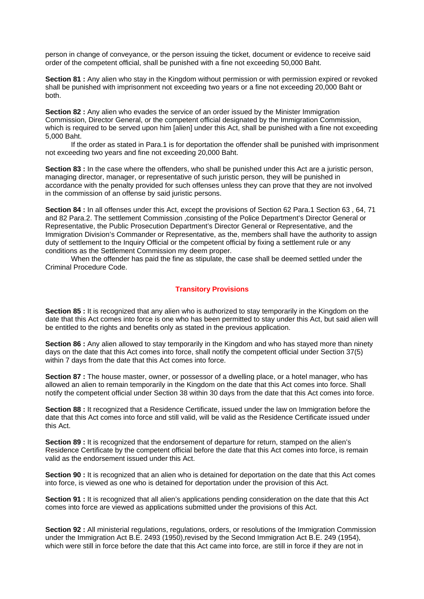person in change of conveyance, or the person issuing the ticket, document or evidence to receive said order of the competent official, shall be punished with a fine not exceeding 50,000 Baht.

**Section 81 :** Any alien who stay in the Kingdom without permission or with permission expired or revoked shall be punished with imprisonment not exceeding two years or a fine not exceeding 20,000 Baht or both.

**Section 82 :** Any alien who evades the service of an order issued by the Minister Immigration Commission, Director General, or the competent official designated by the Immigration Commission, which is required to be served upon him [alien] under this Act, shall be punished with a fine not exceeding 5,000 Baht.

If the order as stated in Para.1 is for deportation the offender shall be punished with imprisonment not exceeding two years and fine not exceeding 20,000 Baht.

**Section 83 :** In the case where the offenders, who shall be punished under this Act are a juristic person, managing director, manager, or representative of such juristic person, they will be punished in accordance with the penalty provided for such offenses unless they can prove that they are not involved in the commission of an offense by said juristic persons.

**Section 84 :** In all offenses under this Act, except the provisions of Section 62 Para.1 Section 63 , 64, 71 and 82 Para.2. The settlement Commission ,consisting of the Police Department's Director General or Representative, the Public Prosecution Department's Director General or Representative, and the Immigration Division's Commander or Representative, as the, members shall have the authority to assign duty of settlement to the Inquiry Official or the competent official by fixing a settlement rule or any conditions as the Settlement Commission my deem proper.

When the offender has paid the fine as stipulate, the case shall be deemed settled under the Criminal Procedure Code.

## **Transitory Provisions**

**Section 85 :** It is recognized that any alien who is authorized to stay temporarily in the Kingdom on the date that this Act comes into force is one who has been permitted to stay under this Act, but said alien will be entitled to the rights and benefits only as stated in the previous application.

**Section 86 :** Any alien allowed to stay temporarily in the Kingdom and who has stayed more than ninety days on the date that this Act comes into force, shall notify the competent official under Section 37(5) within 7 days from the date that this Act comes into force.

**Section 87 :** The house master, owner, or possessor of a dwelling place, or a hotel manager, who has allowed an alien to remain temporarily in the Kingdom on the date that this Act comes into force. Shall notify the competent official under Section 38 within 30 days from the date that this Act comes into force.

**Section 88 :** It recognized that a Residence Certificate, issued under the law on Immigration before the date that this Act comes into force and still valid, will be valid as the Residence Certificate issued under this Act.

**Section 89 :** It is recognized that the endorsement of departure for return, stamped on the alien's Residence Certificate by the competent official before the date that this Act comes into force, is remain valid as the endorsement issued under this Act.

**Section 90 :** It is recognized that an alien who is detained for deportation on the date that this Act comes into force, is viewed as one who is detained for deportation under the provision of this Act.

**Section 91** : It is recognized that all alien's applications pending consideration on the date that this Act comes into force are viewed as applications submitted under the provisions of this Act.

**Section 92 :** All ministerial regulations, regulations, orders, or resolutions of the Immigration Commission under the Immigration Act B.E. 2493 (1950),revised by the Second Immigration Act B.E. 249 (1954), which were still in force before the date that this Act came into force, are still in force if they are not in